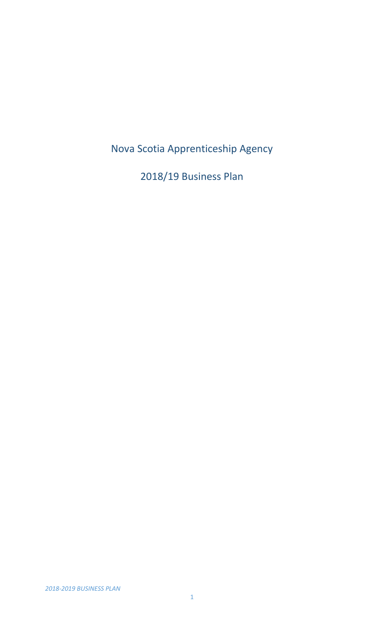Nova Scotia Apprenticeship Agency

2018/19 Business Plan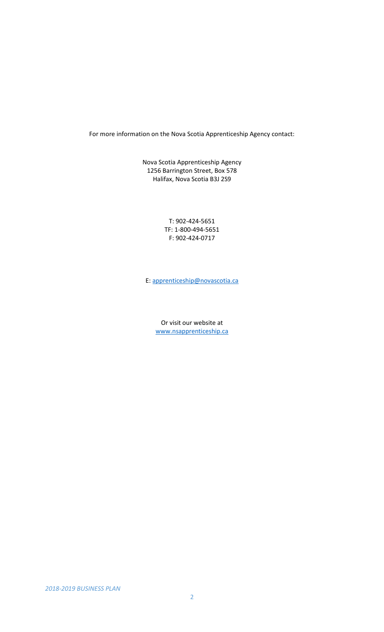For more information on the Nova Scotia Apprenticeship Agency contact:

Nova Scotia Apprenticeship Agency 1256 Barrington Street, Box 578 Halifax, Nova Scotia B3J 2S9

> T: 902-424-5651 TF: 1-800-494-5651 F: 902-424-0717

E: [apprenticeship@novascotia.ca](mailto:apprenticeship@novascotia.ca)

Or visit our website at [www.nsapprenticeship.ca](http://www.nsapprenticeship.ca/)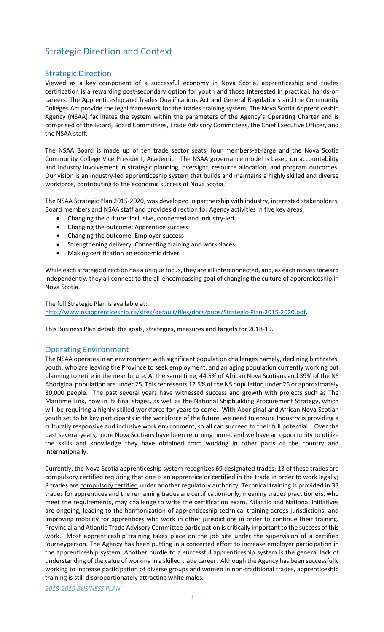## Strategic Direction and Context

## Strategic Direction

Viewed as a key component of a successful economy in Nova Scotia, apprenticeship and trades certification is a rewarding post-secondary option for youth and those interested in practical, hands-on careers. The Apprenticeship and Trades Qualifications Act and General Regulations and the Community Colleges Act provide the legal framework for the trades training system. The Nova Scotia Apprenticeship Agency (NSAA) facilitates the system within the parameters of the Agency's Operating Charter and is comprised of the Board, Board Committees, Trade Advisory Committees, the Chief Executive Officer, and the NSAA staff.

The NSAA Board is made up of ten trade sector seats, four members-at-large and the Nova Scotia Community College Vice President, Academic. The NSAA governance model is based on accountability and industry involvement in strategic planning, oversight, resource allocation, and program outcomes. Our vision is an industry-led apprenticeship system that builds and maintains a highly skilled and diverse workforce, contributing to the economic success of Nova Scotia.

The NSAA Strategic Plan 2015-2020, was developed in partnership with industry, interested stakeholders, Board members and NSAA staff and provides direction for Agency activities in five key areas:

- Changing the culture: Inclusive, connected and industry-led
- Changing the outcome: Apprentice success
- Changing the outcome: Employer success
- Strengthening delivery: Connecting training and workplaces
- Making certification an economic driver

While each strategic direction has a unique focus, they are all interconnected, and, as each moves forward independently, they all connect to the all-encompassing goal of changing the culture of apprenticeship in Nova Scotia.

The full Strategic Plan is available at:

[http://www.nsapprenticeship.ca/sites/default/files/docs/pubs/Strategic-Plan-2015-2020.pdf.](http://www.nsapprenticeship.ca/sites/default/files/docs/pubs/Strategic-Plan-2015-2020.pdf)

This Business Plan details the goals, strategies, measures and targets for 2018-19.

## Operating Environment

The NSAA operates in an environment with significant population challenges namely, declining birthrates, youth, who are leaving the Province to seek employment, and an aging population currently working but planning to retire in the near future. At the same time, 44.5% of African Nova Scotians and 39% of the NS Aboriginal population are under 25. This represents 12.5% of the NS population under 25 or approximately 30,000 people. The past several years have witnessed success and growth with projects such as The Maritime Link, now in its final stages, as well as the National Shipbuilding Procurement Strategy, which will be requiring a highly skilled workforce for years to come. With Aboriginal and African Nova Scotian youth set to be key participants in the workforce of the future, we need to ensure Industry is providing a culturally responsive and inclusive work environment, so all can succeed to their full potential. Over the past several years, more Nova Scotians have been returning home, and we have an opportunity to utilize the skills and knowledge they have obtained from working in other parts of the country and internationally.

Currently, the Nova Scotia apprenticeship system recognizes 69 designated trades; 13 of these trades are compulsory certified requiring that one is an apprentice or certified in the trade in order to work legally; 8 trades are [compulsory certified](https://nsapprenticeship.ca/trades) under another regulatory authority. Technical training is provided in 33 trades for apprentices and the remaining trades are certification-only, meaning trades practitioners, who meet the requirements, may challenge to write the certification exam. Atlantic and National initiatives are ongoing, leading to the harmonization of apprenticeship technical training across jurisdictions, and improving mobility for apprentices who work in other jurisdictions in order to continue their training. Provincial and Atlantic Trade Advisory Committee participation is critically important to the success of this work. Most apprenticeship training takes place on the job site under the supervision of a certified journeyperson. The Agency has been putting in a concerted effort to increase employer participation in the apprenticeship system. Another hurdle to a successful apprenticeship system is the general lack of understanding of the value of working in a skilled trade career. Although the Agency has been successfully working to increase participation of diverse groups and women in non-traditional trades, apprenticeship training is still disproportionately attracting white males.

*2018-2019 BUSINESS PLAN*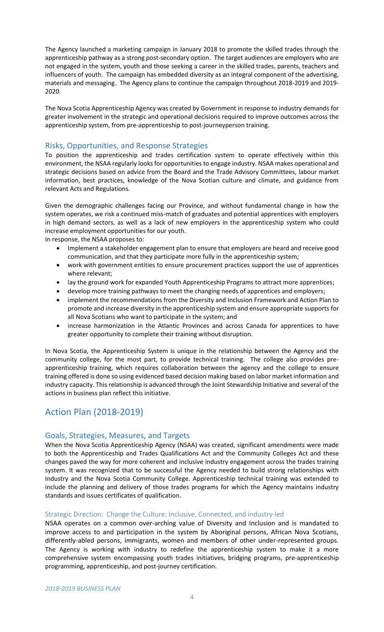The Agency launched a marketing campaign in January 2018 to promote the skilled trades through the apprenticeship pathway as a strong post-secondary option. The target audiences are employers who are not engaged in the system, youth and those seeking a career in the skilled trades, parents, teachers and influencers of youth. The campaign has embedded diversity as an integral component of the advertising, materials and messaging. The Agency plans to continue the campaign throughout 2018-2019 and 2019- 2020.

The Nova Scotia Apprenticeship Agency was created by Government in response to industry demands for greater involvement in the strategic and operational decisions required to improve outcomes across the apprenticeship system, from pre-apprenticeship to post-journeyperson training.

## Risks, Opportunities, and Response Strategies

To position the apprenticeship and trades certification system to operate effectively within this environment, the NSAA regularly looks for opportunities to engage industry. NSAA makes operational and strategic decisions based on advice from the Board and the Trade Advisory Committees, labour market information, best practices, knowledge of the Nova Scotian culture and climate, and guidance from relevant Acts and Regulations.

Given the demographic challenges facing our Province, and without fundamental change in how the system operates, we risk a continued miss-match of graduates and potential apprentices with employers in high demand sectors, as well as a lack of new employers in the apprenticeship system who could increase employment opportunities for our youth.

In response, the NSAA proposes to:

- Implement a stakeholder engagement plan to ensure that employers are heard and receive good communication, and that they participate more fully in the apprenticeship system;
- work with government entities to ensure procurement practices support the use of apprentices where relevant;
- lay the ground work for expanded Youth Apprenticeship Programs to attract more apprentices;
- develop more training pathways to meet the changing needs of apprentices and employers;
- implement the recommendations from the Diversity and Inclusion Framework and Action Plan to promote and increase diversity in the apprenticeship system and ensure appropriate supports for all Nova Scotians who want to participate in the system; and
- increase harmonization in the Atlantic Provinces and across Canada for apprentices to have greater opportunity to complete their training without disruption.

In Nova Scotia, the Apprenticeship System is unique in the relationship between the Agency and the community college, for the most part, to provide technical training. The college also provides preapprenticeship training, which requires collaboration between the agency and the college to ensure training offered is done so using evidenced based decision making based on labor market information and industry capacity. This relationship is advanced through the Joint Stewardship Initiative and several of the actions in business plan reflect this initiative.

## Action Plan (2018-2019)

## Goals, Strategies, Measures, and Targets

When the Nova Scotia Apprenticeship Agency (NSAA) was created, significant amendments were made to both the Apprenticeship and Trades Qualifications Act and the Community Colleges Act and these changes paved the way for more coherent and inclusive industry engagement across the trades training system. It was recognized that to be successful the Agency needed to build strong relationships with Industry and the Nova Scotia Community College. Apprenticeship technical training was extended to include the planning and delivery of those trades programs for which the Agency maintains industry standards and issues certificates of qualification.

## Strategic Direction: Change the Culture: Inclusive, Connected, and industry-led

NSAA operates on a common over-arching value of Diversity and Inclusion and is mandated to improve access to and participation in the system by Aboriginal persons, African Nova Scotians, differently-abled persons, immigrants, women and members of other under-represented groups. The Agency is working with industry to redefine the apprenticeship system to make it a more comprehensive system encompassing youth trades initiatives, bridging programs, pre-apprenticeship programming, apprenticeship, and post-journey certification.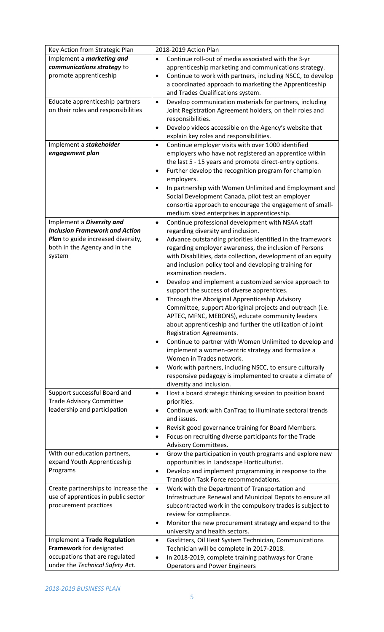| Key Action from Strategic Plan        | 2018-2019 Action Plan                                                                                                      |  |  |
|---------------------------------------|----------------------------------------------------------------------------------------------------------------------------|--|--|
| Implement a <i>marketing and</i>      | Continue roll-out of media associated with the 3-yr<br>$\bullet$                                                           |  |  |
| communications strategy to            | apprenticeship marketing and communications strategy.                                                                      |  |  |
| promote apprenticeship                | Continue to work with partners, including NSCC, to develop<br>$\bullet$                                                    |  |  |
|                                       | a coordinated approach to marketing the Apprenticeship                                                                     |  |  |
|                                       | and Trades Qualifications system.                                                                                          |  |  |
| Educate apprenticeship partners       | Develop communication materials for partners, including<br>$\bullet$                                                       |  |  |
| on their roles and responsibilities   | Joint Registration Agreement holders, on their roles and                                                                   |  |  |
|                                       | responsibilities.                                                                                                          |  |  |
|                                       | Develop videos accessible on the Agency's website that<br>$\bullet$                                                        |  |  |
|                                       | explain key roles and responsibilities.                                                                                    |  |  |
| Implement a stakeholder               | Continue employer visits with over 1000 identified<br>$\bullet$                                                            |  |  |
| engagement plan                       | employers who have not registered an apprentice within                                                                     |  |  |
|                                       | the last 5 - 15 years and promote direct-entry options.                                                                    |  |  |
|                                       | Further develop the recognition program for champion<br>$\bullet$                                                          |  |  |
|                                       | employers.                                                                                                                 |  |  |
|                                       | In partnership with Women Unlimited and Employment and<br>$\bullet$                                                        |  |  |
|                                       | Social Development Canada, pilot test an employer                                                                          |  |  |
|                                       | consortia approach to encourage the engagement of small-                                                                   |  |  |
|                                       | medium sized enterprises in apprenticeship.                                                                                |  |  |
| Implement a Diversity and             | Continue professional development with NSAA staff<br>$\bullet$                                                             |  |  |
| <b>Inclusion Framework and Action</b> | regarding diversity and inclusion.                                                                                         |  |  |
| Plan to guide increased diversity,    | Advance outstanding priorities identified in the framework<br>٠                                                            |  |  |
| both in the Agency and in the         | regarding employer awareness, the inclusion of Persons                                                                     |  |  |
| system                                | with Disabilities, data collection, development of an equity                                                               |  |  |
|                                       | and inclusion policy tool and developing training for                                                                      |  |  |
|                                       | examination readers.                                                                                                       |  |  |
|                                       | Develop and implement a customized service approach to<br>$\bullet$                                                        |  |  |
|                                       | support the success of diverse apprentices.                                                                                |  |  |
|                                       | Through the Aboriginal Apprenticeship Advisory<br>٠                                                                        |  |  |
|                                       | Committee, support Aboriginal projects and outreach (i.e.                                                                  |  |  |
|                                       | APTEC, MFNC, MEBONS), educate community leaders                                                                            |  |  |
|                                       | about apprenticeship and further the utilization of Joint                                                                  |  |  |
|                                       | Registration Agreements.                                                                                                   |  |  |
|                                       | Continue to partner with Women Unlimited to develop and<br>$\bullet$<br>implement a women-centric strategy and formalize a |  |  |
|                                       | Women in Trades network.                                                                                                   |  |  |
|                                       | Work with partners, including NSCC, to ensure culturally<br>$\bullet$                                                      |  |  |
|                                       | responsive pedagogy is implemented to create a climate of                                                                  |  |  |
|                                       | diversity and inclusion.                                                                                                   |  |  |
| Support successful Board and          | Host a board strategic thinking session to position board<br>$\bullet$                                                     |  |  |
| <b>Trade Advisory Committee</b>       | priorities.                                                                                                                |  |  |
| leadership and participation          | Continue work with CanTraq to illuminate sectoral trends<br>$\bullet$                                                      |  |  |
|                                       | and issues.                                                                                                                |  |  |
|                                       | Revisit good governance training for Board Members.<br>$\bullet$                                                           |  |  |
|                                       | Focus on recruiting diverse participants for the Trade<br>$\bullet$                                                        |  |  |
|                                       | Advisory Committees.                                                                                                       |  |  |
| With our education partners,          | Grow the participation in youth programs and explore new<br>$\bullet$                                                      |  |  |
| expand Youth Apprenticeship           | opportunities in Landscape Horticulturist.                                                                                 |  |  |
| Programs                              | Develop and implement programming in response to the<br>$\bullet$                                                          |  |  |
|                                       | Transition Task Force recommendations.                                                                                     |  |  |
| Create partnerships to increase the   | Work with the Department of Transportation and<br>$\bullet$                                                                |  |  |
| use of apprentices in public sector   | Infrastructure Renewal and Municipal Depots to ensure all                                                                  |  |  |
| procurement practices                 | subcontracted work in the compulsory trades is subject to                                                                  |  |  |
|                                       | review for compliance.                                                                                                     |  |  |
|                                       | Monitor the new procurement strategy and expand to the<br>$\bullet$                                                        |  |  |
|                                       | university and health sectors.                                                                                             |  |  |
| Implement a Trade Regulation          | Gasfitters, Oil Heat System Technician, Communications<br>$\bullet$                                                        |  |  |
| Framework for designated              | Technician will be complete in 2017-2018.                                                                                  |  |  |
| occupations that are regulated        | In 2018-2019, complete training pathways for Crane<br>$\bullet$                                                            |  |  |
| under the Technical Safety Act.       | <b>Operators and Power Engineers</b>                                                                                       |  |  |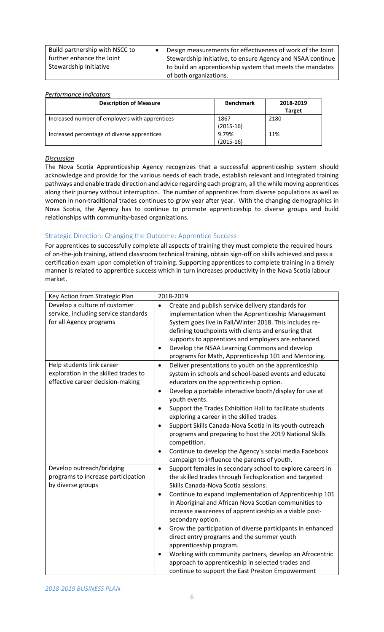| Build partnership with NSCC to | Design measurements for effectiveness of work of the Joint |
|--------------------------------|------------------------------------------------------------|
| further enhance the Joint      | Stewardship Initiative, to ensure Agency and NSAA continue |
| Stewardship Initiative         | to build an apprenticeship system that meets the mandates  |
|                                | of both organizations.                                     |

#### *Performance Indicators*

| <b>Description of Measure</b>                  | <b>Benchmark</b> | 2018-2019     |
|------------------------------------------------|------------------|---------------|
|                                                |                  | <b>Target</b> |
| Increased number of employers with apprentices | 1867             | 2180          |
|                                                | $(2015-16)$      |               |
| Increased percentage of diverse apprentices    | 9.79%            | 11%           |
|                                                | $(2015-16)$      |               |

#### *Discussion*

The Nova Scotia Apprenticeship Agency recognizes that a successful apprenticeship system should acknowledge and provide for the various needs of each trade, establish relevant and integrated training pathways and enable trade direction and advice regarding each program, all the while moving apprentices along their journey without interruption. The number of apprentices from diverse populations as well as women in non-traditional trades continues to grow year after year. With the changing demographics in Nova Scotia, the Agency has to continue to promote apprenticeship to diverse groups and build relationships with community-based organizations.

#### Strategic Direction: Changing the Outcome: Apprentice Success

For apprentices to successfully complete all aspects of training they must complete the required hours of on-the-job training, attend classroom technical training, obtain sign-off on skills achieved and pass a certification exam upon completion of training. Supporting apprentices to complete training in a timely manner is related to apprentice success which in turn increases productivity in the Nova Scotia labour market.

| Key Action from Strategic Plan                                                                        | 2018-2019                                                                                                                                                                                                                                                                                                                                                                                                                                                                                                                                                                                                                                                                                                                                                   |  |  |
|-------------------------------------------------------------------------------------------------------|-------------------------------------------------------------------------------------------------------------------------------------------------------------------------------------------------------------------------------------------------------------------------------------------------------------------------------------------------------------------------------------------------------------------------------------------------------------------------------------------------------------------------------------------------------------------------------------------------------------------------------------------------------------------------------------------------------------------------------------------------------------|--|--|
| Develop a culture of customer<br>service, including service standards<br>for all Agency programs      | Create and publish service delivery standards for<br>$\bullet$<br>implementation when the Apprenticeship Management<br>System goes live in Fall/Winter 2018. This includes re-<br>defining touchpoints with clients and ensuring that<br>supports to apprentices and employers are enhanced.<br>Develop the NSAA Learning Commons and develop<br>$\bullet$<br>programs for Math, Apprenticeship 101 and Mentoring.                                                                                                                                                                                                                                                                                                                                          |  |  |
| Help students link career<br>exploration in the skilled trades to<br>effective career decision-making | Deliver presentations to youth on the apprenticeship<br>$\bullet$<br>system in schools and school-based events and educate<br>educators on the apprenticeship option.<br>Develop a portable interactive booth/display for use at<br>$\bullet$<br>youth events.<br>Support the Trades Exhibition Hall to facilitate students<br>$\bullet$<br>exploring a career in the skilled trades.<br>Support Skills Canada-Nova Scotia in its youth outreach<br>$\bullet$<br>programs and preparing to host the 2019 National Skills<br>competition.<br>Continue to develop the Agency's social media Facebook<br>٠                                                                                                                                                     |  |  |
| Develop outreach/bridging<br>programs to increase participation<br>by diverse groups                  | campaign to influence the parents of youth.<br>Support females in secondary school to explore careers in<br>$\bullet$<br>the skilled trades through Techsploration and targeted<br>Skills Canada-Nova Scotia sessions.<br>Continue to expand implementation of Apprenticeship 101<br>$\bullet$<br>in Aboriginal and African Nova Scotian communities to<br>increase awareness of apprenticeship as a viable post-<br>secondary option.<br>Grow the participation of diverse participants in enhanced<br>٠<br>direct entry programs and the summer youth<br>apprenticeship program.<br>Working with community partners, develop an Afrocentric<br>٠<br>approach to apprenticeship in selected trades and<br>continue to support the East Preston Empowerment |  |  |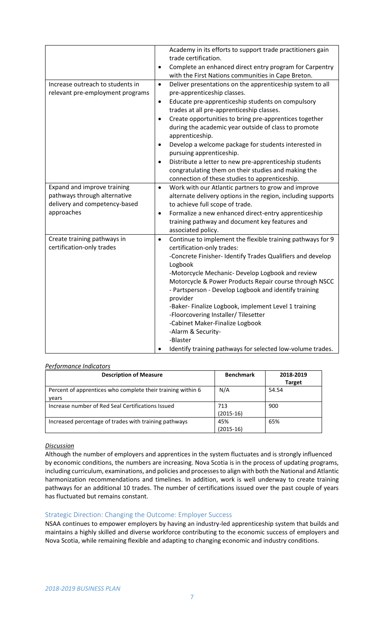|                                  | $\bullet$ | Academy in its efforts to support trade practitioners gain<br>trade certification.<br>Complete an enhanced direct entry program for Carpentry<br>with the First Nations communities in Cape Breton. |
|----------------------------------|-----------|-----------------------------------------------------------------------------------------------------------------------------------------------------------------------------------------------------|
|                                  |           |                                                                                                                                                                                                     |
| Increase outreach to students in | $\bullet$ | Deliver presentations on the apprenticeship system to all                                                                                                                                           |
| relevant pre-employment programs |           | pre-apprenticeship classes.                                                                                                                                                                         |
|                                  | $\bullet$ | Educate pre-apprenticeship students on compulsory                                                                                                                                                   |
|                                  |           | trades at all pre-apprenticeship classes.                                                                                                                                                           |
|                                  |           | Create opportunities to bring pre-apprentices together                                                                                                                                              |
|                                  |           | during the academic year outside of class to promote                                                                                                                                                |
|                                  |           | apprenticeship.                                                                                                                                                                                     |
|                                  | $\bullet$ | Develop a welcome package for students interested in                                                                                                                                                |
|                                  |           | pursuing apprenticeship.                                                                                                                                                                            |
|                                  | $\bullet$ | Distribute a letter to new pre-apprenticeship students                                                                                                                                              |
|                                  |           |                                                                                                                                                                                                     |
|                                  |           | congratulating them on their studies and making the                                                                                                                                                 |
|                                  |           | connection of these studies to apprenticeship.                                                                                                                                                      |
| Expand and improve training      | $\bullet$ | Work with our Atlantic partners to grow and improve                                                                                                                                                 |
| pathways through alternative     |           | alternate delivery options in the region, including supports                                                                                                                                        |
| delivery and competency-based    |           | to achieve full scope of trade.                                                                                                                                                                     |
| approaches                       | $\bullet$ | Formalize a new enhanced direct-entry apprenticeship                                                                                                                                                |
|                                  |           | training pathway and document key features and                                                                                                                                                      |
|                                  |           | associated policy.                                                                                                                                                                                  |
| Create training pathways in      | $\bullet$ | Continue to implement the flexible training pathways for 9                                                                                                                                          |
| certification-only trades        |           | certification-only trades:                                                                                                                                                                          |
|                                  |           | -Concrete Finisher- Identify Trades Qualifiers and develop                                                                                                                                          |
|                                  |           | Logbook                                                                                                                                                                                             |
|                                  |           | -Motorcycle Mechanic- Develop Logbook and review                                                                                                                                                    |
|                                  |           | Motorcycle & Power Products Repair course through NSCC                                                                                                                                              |
|                                  |           | - Partsperson - Develop Logbook and identify training                                                                                                                                               |
|                                  |           | provider                                                                                                                                                                                            |
|                                  |           | -Baker- Finalize Logbook, implement Level 1 training                                                                                                                                                |
|                                  |           | -Floorcovering Installer/Tilesetter                                                                                                                                                                 |
|                                  |           | -Cabinet Maker-Finalize Logbook                                                                                                                                                                     |
|                                  |           | -Alarm & Security-                                                                                                                                                                                  |
|                                  |           | -Blaster                                                                                                                                                                                            |
|                                  |           | Identify training pathways for selected low-volume trades.                                                                                                                                          |
|                                  |           |                                                                                                                                                                                                     |

## *Performance Indicators*

| <b>Description of Measure</b>                               | <b>Benchmark</b> | 2018-2019     |
|-------------------------------------------------------------|------------------|---------------|
|                                                             |                  | <b>Target</b> |
| Percent of apprentices who complete their training within 6 | N/A              | 54.54         |
| years                                                       |                  |               |
| Increase number of Red Seal Certifications Issued           | 713              | 900           |
|                                                             | $(2015-16)$      |               |
| Increased percentage of trades with training pathways       | 45%              | 65%           |
|                                                             | $(2015-16)$      |               |

#### *Discussion*

Although the number of employers and apprentices in the system fluctuates and is strongly influenced by economic conditions, the numbers are increasing. Nova Scotia is in the process of updating programs, including curriculum, examinations, and policies and processes to align with both the National and Atlantic harmonization recommendations and timelines. In addition, work is well underway to create training pathways for an additional 10 trades. The number of certifications issued over the past couple of years has fluctuated but remains constant.

#### Strategic Direction: Changing the Outcome: Employer Success

NSAA continues to empower employers by having an industry-led apprenticeship system that builds and maintains a highly skilled and diverse workforce contributing to the economic success of employers and Nova Scotia, while remaining flexible and adapting to changing economic and industry conditions.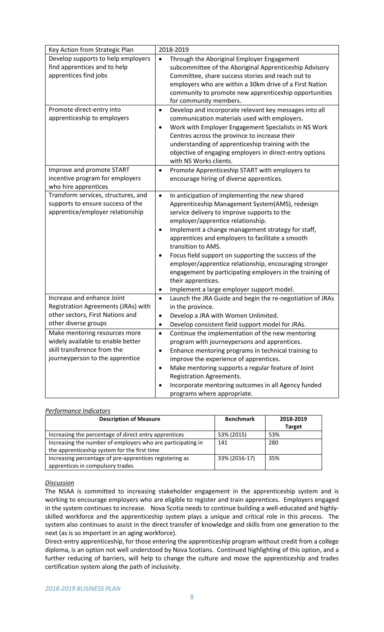| Key Action from Strategic Plan                                                                                                       | 2018-2019                                                                                                                                                                                                                                                                                                                                                                                                                                                                                                                                                                               |  |
|--------------------------------------------------------------------------------------------------------------------------------------|-----------------------------------------------------------------------------------------------------------------------------------------------------------------------------------------------------------------------------------------------------------------------------------------------------------------------------------------------------------------------------------------------------------------------------------------------------------------------------------------------------------------------------------------------------------------------------------------|--|
| Develop supports to help employers<br>find apprentices and to help<br>apprentices find jobs                                          | Through the Aboriginal Employer Engagement<br>$\bullet$<br>subcommittee of the Aboriginal Apprenticeship Advisory<br>Committee, share success stories and reach out to<br>employers who are within a 30km drive of a First Nation<br>community to promote new apprenticeship opportunities<br>for community members.                                                                                                                                                                                                                                                                    |  |
| Promote direct-entry into<br>apprenticeship to employers                                                                             | Develop and incorporate relevant key messages into all<br>$\bullet$<br>communication materials used with employers.<br>Work with Employer Engagement Specialists in NS Work<br>٠<br>Centres across the province to increase their<br>understanding of apprenticeship training with the<br>objective of engaging employers in direct-entry options<br>with NS Works clients.                                                                                                                                                                                                             |  |
| Improve and promote START<br>incentive program for employers<br>who hire apprentices                                                 | Promote Apprenticeship START with employers to<br>$\bullet$<br>encourage hiring of diverse apprentices.                                                                                                                                                                                                                                                                                                                                                                                                                                                                                 |  |
| Transform services, structures, and<br>supports to ensure success of the<br>apprentice/employer relationship                         | In anticipation of implementing the new shared<br>$\bullet$<br>Apprenticeship Management System(AMS), redesign<br>service delivery to improve supports to the<br>employer/apprentice relationship.<br>Implement a change management strategy for staff,<br>٠<br>apprentices and employers to facilitate a smooth<br>transition to AMS.<br>Focus field support on supporting the success of the<br>employer/apprentice relationship, encouraging stronger<br>engagement by participating employers in the training of<br>their apprentices.<br>Implement a large employer support model. |  |
| Increase and enhance Joint<br>Registration Agreements (JRAs) with<br>other sectors, First Nations and<br>other diverse groups        | Launch the JRA Guide and begin the re-negotiation of JRAs<br>$\bullet$<br>in the province.<br>Develop a JRA with Women Unlimited.<br>Develop consistent field support model for JRAs.                                                                                                                                                                                                                                                                                                                                                                                                   |  |
| Make mentoring resources more<br>widely available to enable better<br>skill transference from the<br>journeyperson to the apprentice | Continue the implementation of the new mentoring<br>$\bullet$<br>program with journeypersons and apprentices.<br>Enhance mentoring programs in technical training to<br>٠<br>improve the experience of apprentices.<br>Make mentoring supports a regular feature of Joint<br>$\bullet$<br>Registration Agreements.<br>Incorporate mentoring outcomes in all Agency funded<br>programs where appropriate.                                                                                                                                                                                |  |

## *Performance Indicators*

| <b>Description of Measure</b>                               | <b>Benchmark</b> | 2018-2019     |
|-------------------------------------------------------------|------------------|---------------|
|                                                             |                  | <b>Target</b> |
| Increasing the percentage of direct entry apprentices       | 53% (2015)       | 53%           |
| Increasing the number of employers who are participating in | 141              | 280           |
| the apprenticeship system for the first time                |                  |               |
| Increasing percentage of pre-apprentices registering as     | 33% (2016-17)    | 35%           |
| apprentices in compulsory trades                            |                  |               |

#### *Discussion*

The NSAA is committed to increasing stakeholder engagement in the apprenticeship system and is working to encourage employers who are eligible to register and train apprentices. Employers engaged in the system continues to increase. Nova Scotia needs to continue building a well-educated and highlyskilled workforce and the apprenticeship system plays a unique and critical role in this process. The system also continues to assist in the direct transfer of knowledge and skills from one generation to the next (as is so important in an aging workforce).

Direct-entry apprenticeship, for those entering the apprenticeship program without credit from a college diploma, is an option not well understood by Nova Scotians. Continued highlighting of this option, and a further reducing of barriers, will help to change the culture and move the apprenticeship and trades certification system along the path of inclusivity.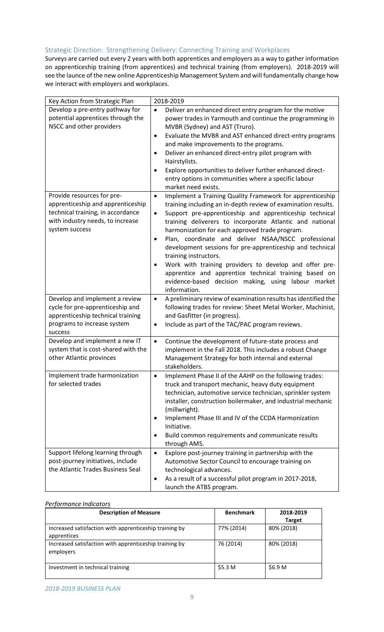## Strategic Direction: Strengthening Delivery: Connecting Training and Workplaces

Surveys are carried out every 2 years with both apprentices and employers as a way to gather information on apprenticeship training (from apprentices) and technical training (from employers). 2018-2019 will see the launce of the new online Apprenticeship Management System and will fundamentally change how we interact with employers and workplaces.

| Key Action from Strategic Plan                                                                                                                             | 2018-2019                                                                                                                                                                                                                                                                                                                                                                                                                                                                                                                                                                                                                                                                      |  |  |
|------------------------------------------------------------------------------------------------------------------------------------------------------------|--------------------------------------------------------------------------------------------------------------------------------------------------------------------------------------------------------------------------------------------------------------------------------------------------------------------------------------------------------------------------------------------------------------------------------------------------------------------------------------------------------------------------------------------------------------------------------------------------------------------------------------------------------------------------------|--|--|
| Develop a pre-entry pathway for<br>potential apprentices through the                                                                                       | Deliver an enhanced direct entry program for the motive<br>$\bullet$<br>power trades in Yarmouth and continue the programming in                                                                                                                                                                                                                                                                                                                                                                                                                                                                                                                                               |  |  |
| NSCC and other providers                                                                                                                                   | MVBR (Sydney) and AST (Truro).<br>Evaluate the MVBR and AST enhanced direct-entry programs<br>$\bullet$<br>and make improvements to the programs.                                                                                                                                                                                                                                                                                                                                                                                                                                                                                                                              |  |  |
|                                                                                                                                                            | Deliver an enhanced direct-entry pilot program with<br>$\bullet$<br>Hairstylists.<br>Explore opportunities to deliver further enhanced direct-<br>٠<br>entry options in communities where a specific labour<br>market need exists.                                                                                                                                                                                                                                                                                                                                                                                                                                             |  |  |
| Provide resources for pre-<br>apprenticeship and apprenticeship<br>technical training, in accordance<br>with industry needs, to increase<br>system success | Implement a Training Quality Framework for apprenticeship<br>$\bullet$<br>training including an in-depth review of examination results.<br>Support pre-apprenticeship and apprenticeship technical<br>$\bullet$<br>training deliverers to incorporate Atlantic and national<br>harmonization for each approved trade program.<br>Plan, coordinate and deliver NSAA/NSCC professional<br>٠<br>development sessions for pre-apprenticeship and technical<br>training instructors.<br>Work with training providers to develop and offer pre-<br>٠<br>apprentice and apprentice technical training based on<br>evidence-based decision making, using labour market<br>information. |  |  |
| Develop and implement a review<br>cycle for pre-apprenticeship and<br>apprenticeship technical training<br>programs to increase system<br>success          | A preliminary review of examination results has identified the<br>$\bullet$<br>following trades for review: Sheet Metal Worker, Machinist,<br>and Gasfitter (in progress).<br>Include as part of the TAC/PAC program reviews.<br>$\bullet$                                                                                                                                                                                                                                                                                                                                                                                                                                     |  |  |
| Develop and implement a new IT<br>system that is cost-shared with the<br>other Atlantic provinces                                                          | Continue the development of future-state process and<br>$\bullet$<br>implement in the Fall 2018. This includes a robust Change<br>Management Strategy for both internal and external<br>stakeholders.                                                                                                                                                                                                                                                                                                                                                                                                                                                                          |  |  |
| Implement trade harmonization<br>for selected trades                                                                                                       | Implement Phase II of the AAHP on the following trades:<br>truck and transport mechanic, heavy duty equipment<br>technician, automotive service technician, sprinkler system<br>installer, construction boilermaker, and industrial mechanic<br>(millwright).<br>Implement Phase III and IV of the CCDA Harmonization<br>٠<br>Initiative.<br>Build common requirements and communicate results<br>٠<br>through AMS.                                                                                                                                                                                                                                                            |  |  |
| Support lifelong learning through<br>post-journey initiatives, include<br>the Atlantic Trades Business Seal                                                | Explore post-journey training in partnership with the<br>$\bullet$<br>Automotive Sector Council to encourage training on<br>technological advances.<br>As a result of a successful pilot program in 2017-2018,<br>٠<br>launch the ATBS program.                                                                                                                                                                                                                                                                                                                                                                                                                                |  |  |

#### *Performance Indicators*

| <b>Description of Measure</b>                          | <b>Benchmark</b>   | 2018-2019     |
|--------------------------------------------------------|--------------------|---------------|
|                                                        |                    | <b>Target</b> |
| Increased satisfaction with apprenticeship training by | 77% (2014)         | 80% (2018)    |
| apprentices                                            |                    |               |
| Increased satisfaction with apprenticeship training by | 76 (2014)          | 80% (2018)    |
| employers                                              |                    |               |
|                                                        |                    |               |
| Investment in technical training                       | \$5.3 <sub>M</sub> | \$6.9 M       |
|                                                        |                    |               |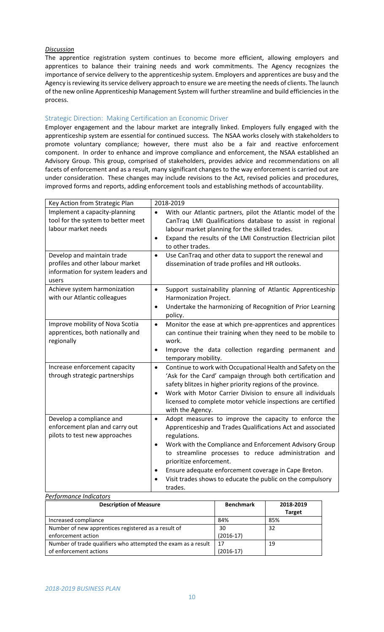#### *Discussion*

The apprentice registration system continues to become more efficient, allowing employers and apprentices to balance their training needs and work commitments. The Agency recognizes the importance of service delivery to the apprenticeship system. Employers and apprentices are busy and the Agency is reviewing its service delivery approach to ensure we are meeting the needs of clients. The launch of the new online Apprenticeship Management System will further streamline and build efficiencies in the process.

## Strategic Direction: Making Certification an Economic Driver

Employer engagement and the labour market are integrally linked. Employers fully engaged with the apprenticeship system are essential for continued success. The NSAA works closely with stakeholders to promote voluntary compliance; however, there must also be a fair and reactive enforcement component. In order to enhance and improve compliance and enforcement, the NSAA established an Advisory Group. This group, comprised of stakeholders, provides advice and recommendations on all facets of enforcement and as a result, many significant changes to the way enforcement is carried out are under consideration. These changes may include revisions to the Act, revised policies and procedures, improved forms and reports, adding enforcement tools and establishing methods of accountability.

| Key Action from Strategic Plan                                                                                | 2018-2019                                                                                                                                                                                                                                                                                                                                                                                                                                                  |
|---------------------------------------------------------------------------------------------------------------|------------------------------------------------------------------------------------------------------------------------------------------------------------------------------------------------------------------------------------------------------------------------------------------------------------------------------------------------------------------------------------------------------------------------------------------------------------|
| Implement a capacity-planning<br>tool for the system to better meet<br>labour market needs                    | With our Atlantic partners, pilot the Atlantic model of the<br>$\bullet$<br>CanTraq LMI Qualifications database to assist in regional<br>labour market planning for the skilled trades.<br>Expand the results of the LMI Construction Electrician pilot<br>$\bullet$<br>to other trades.                                                                                                                                                                   |
| Develop and maintain trade<br>profiles and other labour market<br>information for system leaders and<br>users | Use CanTraq and other data to support the renewal and<br>$\bullet$<br>dissemination of trade profiles and HR outlooks.                                                                                                                                                                                                                                                                                                                                     |
| Achieve system harmonization<br>with our Atlantic colleagues                                                  | Support sustainability planning of Atlantic Apprenticeship<br>$\bullet$<br>Harmonization Project.<br>Undertake the harmonizing of Recognition of Prior Learning<br>$\bullet$<br>policy.                                                                                                                                                                                                                                                                    |
| Improve mobility of Nova Scotia<br>apprentices, both nationally and<br>regionally                             | Monitor the ease at which pre-apprentices and apprentices<br>$\bullet$<br>can continue their training when they need to be mobile to<br>work.<br>Improve the data collection regarding permanent and<br>$\bullet$<br>temporary mobility.                                                                                                                                                                                                                   |
| Increase enforcement capacity<br>through strategic partnerships                                               | Continue to work with Occupational Health and Safety on the<br>$\bullet$<br>'Ask for the Card' campaign through both certification and<br>safety blitzes in higher priority regions of the province.<br>Work with Motor Carrier Division to ensure all individuals<br>$\bullet$<br>licensed to complete motor vehicle inspections are certified<br>with the Agency.                                                                                        |
| Develop a compliance and<br>enforcement plan and carry out<br>pilots to test new approaches                   | Adopt measures to improve the capacity to enforce the<br>$\bullet$<br>Apprenticeship and Trades Qualifications Act and associated<br>regulations.<br>Work with the Compliance and Enforcement Advisory Group<br>$\bullet$<br>to streamline processes to reduce administration and<br>prioritize enforcement.<br>Ensure adequate enforcement coverage in Cape Breton.<br>$\bullet$<br>Visit trades shows to educate the public on the compulsory<br>trades. |
| Performance Indicators                                                                                        |                                                                                                                                                                                                                                                                                                                                                                                                                                                            |

| <b>Description of Measure</b>                                 | <b>Benchmark</b> | 2018-2019<br><b>Target</b> |
|---------------------------------------------------------------|------------------|----------------------------|
| Increased compliance                                          | 84%              | 85%                        |
| Number of new apprentices registered as a result of           | 30               | 32                         |
| enforcement action                                            | $(2016-17)$      |                            |
| Number of trade qualifiers who attempted the exam as a result |                  | 19                         |
| of enforcement actions                                        | (2016-17)        |                            |